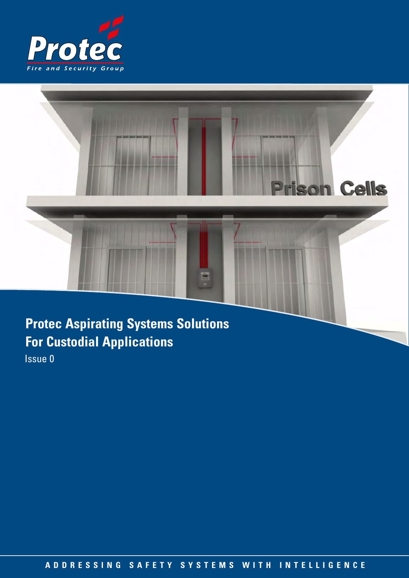



**Protec Aspirating Systems Solutions For Custodial Applications**

Issue 0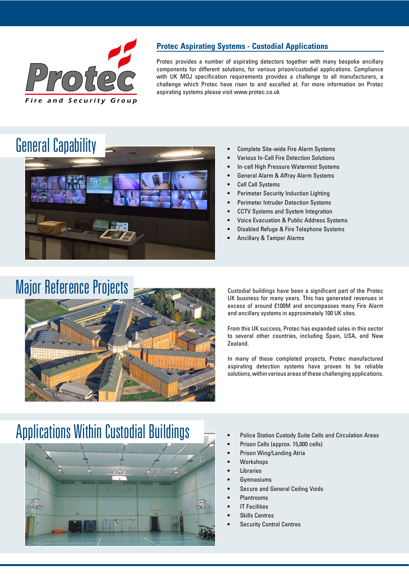

## **Protec Aspirating Systems - Custodial Applications**

Protec provides a number of aspirating detectors together with many bespoke ancillary components for different solutions, for various prison/custodial applications. Compliance with UK MOJ specification requirements provides a challenge to all manufacturers, a challenge which Protec have risen to and excelled at. For more information on Protec aspirating systems please visit www.protec.co.uk

# General Capability



- Complete Site-wide Fire Alarm Systems
- Various In-Cell Fire Detection Solutions
- In-cell High Pressure Watermist Systems
- General Alarm & Affray Alarm Systems
- Cell Call Systems
- Perimeter Security Induction Lighting
- Perimeter Intruder Detection Systems
- CCTV Systems and System Integration
- Voice Evacuation & Public Address Systems
- Disabled Refuge & Fire Telephone Systems
- Ancillary & Tamper Alarms

# Major Reference Projects



Custodial buildings have been a significant part of the Protec UK business for many years. This has generated revenues in excess of around £100M and encompasses many Fire Alarm and ancillary systems in approximately 100 UK sites.

From this UK success, Protec has expanded sales in this sector to several other countries, including Spain, USA, and New Zealand.

In many of these completed projects, Protec manufactured aspirating detection systems have proven to be reliable solutions, within various areas of these challenging applications.

# Applications Within Custodial Buildings



- Police Station Custody Suite Cells and Circulation Areas
- Prison Cells (approx. 15,000 cells)
- Prison Wing/Landing Atria
- Workshops
- **Libraries**
- **Gymnasiums**
- Secure and General Ceiling Voids
- Plantrooms
- **IT Facilities**
- Skills Centres
- Security Control Centres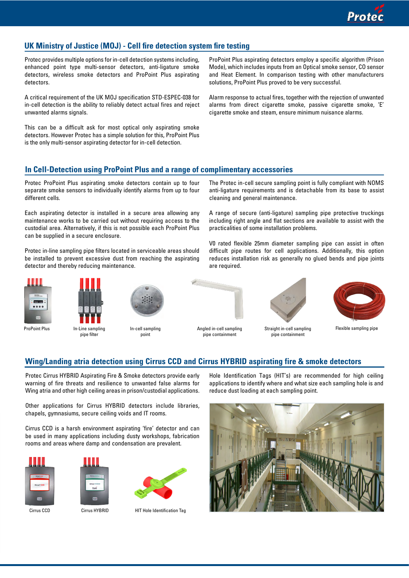### **UK Ministry of Justice (MOJ) - Cell fire detection system fire testing**

Protec provides multiple options for in-cell detection systems including, enhanced point type multi-sensor detectors, anti-ligature smoke detectors, wireless smoke detectors and ProPoint Plus aspirating detectors.

A critical requirement of the UK MOJ specification STD-ESPEC-038 for in-cell detection is the ability to reliably detect actual fires and reject unwanted alarms signals.

This can be a difficult ask for most optical only aspirating smoke detectors. However Protec has a simple solution for this, ProPoint Plus is the only multi-sensor aspirating detector for in-cell detection.

ProPoint Plus aspirating detectors employ a specific algorithm (Prison Mode), which includes inputs from an Optical smoke sensor, CO sensor and Heat Element. In comparison testing with other manufacturers solutions, ProPoint Plus proved to be very successful.

Alarm response to actual fires, together with the rejection of unwanted alarms from direct cigarette smoke, passive cigarette smoke, 'E' cigarette smoke and steam, ensure minimum nuisance alarms.

### **In Cell-Detection using ProPoint Plus and a range of complimentary accessories**

Protec ProPoint Plus aspirating smoke detectors contain up to four separate smoke sensors to individually identify alarms from up to four different cells.

Each aspirating detector is installed in a secure area allowing any maintenance works to be carried out without requiring access to the custodial area. Alternatively, if this is not possible each ProPoint Plus can be supplied in a secure enclosure.

Protec in-line sampling pipe filters located in serviceable areas should be installed to prevent excessive dust from reaching the aspirating detector and thereby reducing maintenance.



pipe filter

ProPoint Plus In-Line sampling



In-cell sampling point

The Protec in-cell secure sampling point is fully compliant with NOMS anti-ligature requirements and is detachable from its base to assist cleaning and general maintenance.

A range of secure (anti-ligature) sampling pipe protective truckings including right angle and flat sections are available to assist with the practicalities of some installation problems.

V0 rated flexible 25mm diameter sampling pipe can assist in often difficult pipe routes for cell applications. Additionally, this option reduces installation risk as generally no glued bends and pipe joints are required.



Straight in-cell sampling pipe containment



Flexible sampling pipe

#### **Wing/Landing atria detection using Cirrus CCD and Cirrus HYBRID aspirating fire & smoke detectors**

Angled in-cell sampling pipe containment

Protec Cirrus HYBRID Aspirating Fire & Smoke detectors provide early warning of fire threats and resilience to unwanted false alarms for Wing atria and other high ceiling areas in prison/custodial applications.

Other applications for Cirrus HYBRID detectors include libraries, chapels, gymnasiums, secure ceiling voids and IT rooms.

Cirrus CCD is a harsh environment aspirating 'fire' detector and can be used in many applications including dusty workshops, fabrication rooms and areas where damp and condensation are prevalent.







Cirrus CCD Cirrus HYBRID HIT Hole Identification Tag

Hole Identification Tags (HIT's) are recommended for high ceiling applications to identify where and what size each sampling hole is and reduce dust loading at each sampling point.